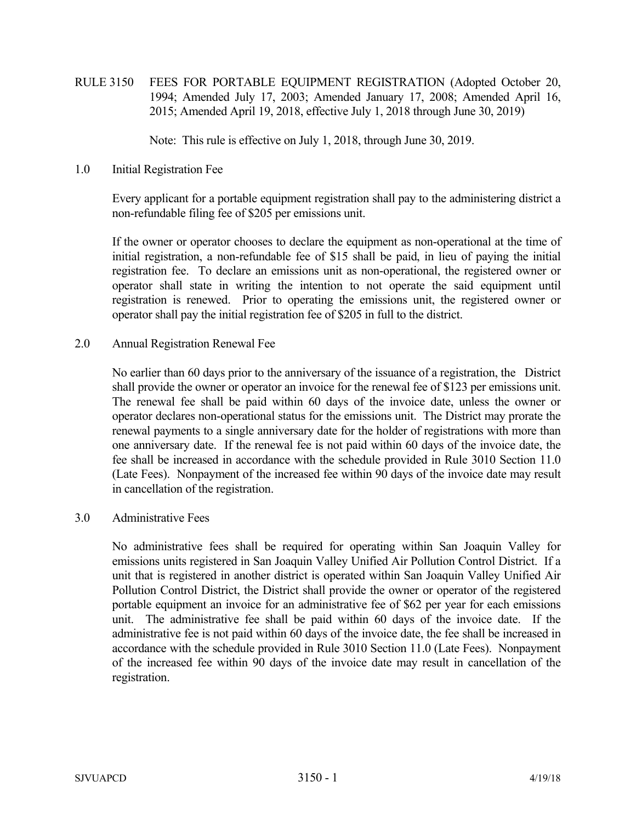RULE 3150 FEES FOR PORTABLE EQUIPMENT REGISTRATION (Adopted October 20, 1994; Amended July 17, 2003; Amended January 17, 2008; Amended April 16, 2015; Amended April 19, 2018, effective July 1, 2018 through June 30, 2019)

Note: This rule is effective on July 1, 2018, through June 30, 2019.

1.0 Initial Registration Fee

 Every applicant for a portable equipment registration shall pay to the administering district a non-refundable filing fee of \$205 per emissions unit.

 If the owner or operator chooses to declare the equipment as non-operational at the time of initial registration, a non-refundable fee of \$15 shall be paid, in lieu of paying the initial registration fee. To declare an emissions unit as non-operational, the registered owner or operator shall state in writing the intention to not operate the said equipment until registration is renewed. Prior to operating the emissions unit, the registered owner or operator shall pay the initial registration fee of \$205 in full to the district.

2.0 Annual Registration Renewal Fee

 No earlier than 60 days prior to the anniversary of the issuance of a registration, the District shall provide the owner or operator an invoice for the renewal fee of \$123 per emissions unit. The renewal fee shall be paid within 60 days of the invoice date, unless the owner or operator declares non-operational status for the emissions unit. The District may prorate the renewal payments to a single anniversary date for the holder of registrations with more than one anniversary date. If the renewal fee is not paid within 60 days of the invoice date, the fee shall be increased in accordance with the schedule provided in Rule 3010 Section 11.0 (Late Fees). Nonpayment of the increased fee within 90 days of the invoice date may result in cancellation of the registration.

3.0 Administrative Fees

 No administrative fees shall be required for operating within San Joaquin Valley for emissions units registered in San Joaquin Valley Unified Air Pollution Control District. If a unit that is registered in another district is operated within San Joaquin Valley Unified Air Pollution Control District, the District shall provide the owner or operator of the registered portable equipment an invoice for an administrative fee of \$62 per year for each emissions unit. The administrative fee shall be paid within 60 days of the invoice date. If the administrative fee is not paid within 60 days of the invoice date, the fee shall be increased in accordance with the schedule provided in Rule 3010 Section 11.0 (Late Fees). Nonpayment of the increased fee within 90 days of the invoice date may result in cancellation of the registration.